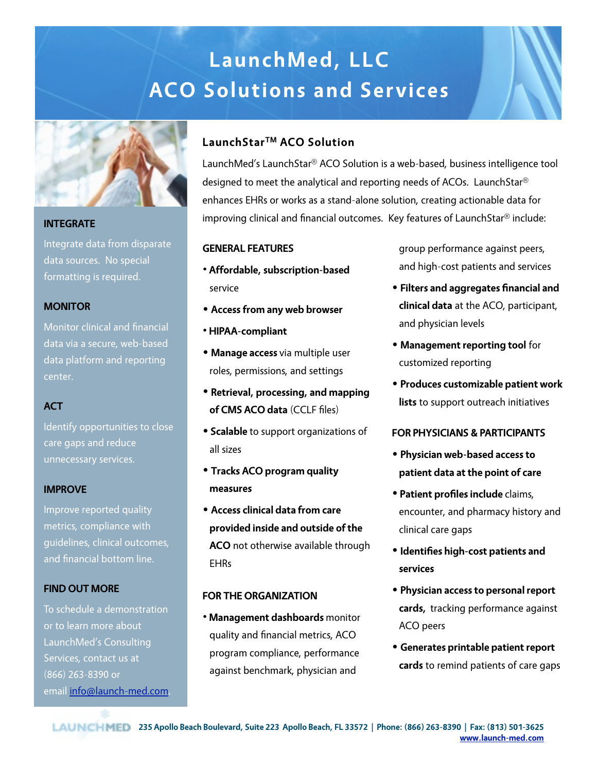# **LaunchMed, LLC ACO Solutions and Services**



Integrate data from disparate data sources. No special formatting is required.

#### **MONITOR**

Monitor clinical and financial data via a secure, web-based data platform and reporting center.

### **ACT**

Identify opportunities to close care gaps and reduce unnecessary services.

#### **IMPROVE**

Improve reported quality metrics, compliance with guidelines, clinical outcomes, and financial bottom line.

#### **FIND OUT MORE**

To schedule a demonstration or to learn more about LaunchMed's Consulting Services, contact us at (866) 263-8390 or email [info@launch-med.com.](mailto:info@launch-med.com)

## **LaunchStarTM ACO Solution**

LaunchMed's LaunchStar® ACO Solution is a web-based, business intelligence tool designed to meet the analytical and reporting needs of ACOs. LaunchStar® enhances EHRs or works as a stand-alone solution, creating actionable data for improving clinical and financial outcomes. Key features of LaunchStar® include: **INTEGRATE** 

#### **GENERAL FEATURES**

- **Affordable, subscription-based** service
- **Access from any web browser**
- **HIPAA-compliant**
- **Manage access** via multiple user roles, permissions, and settings
- **Retrieval, processing, and mapping of CMS ACO data** (CCLF files)
- • **Scalable** to support organizations of all sizes
- **Tracks ACO program quality measures**
- **Access clinical data from care provided inside and outside of the ACO** not otherwise available through EHRs

### **FOR THE ORGANIZATION**

• **Management dashboards** monitor quality and financial metrics, ACO program compliance, performance against benchmark, physician and

group performance against peers, and high-cost patients and services

- **Filters and aggregates financial and clinical data** at the ACO, participant, and physician levels
- **Management reporting tool** for customized reporting
- **Produces customizable patient work lists** to support outreach initiatives

#### **FOR PHYSICIANS & PARTICIPANTS**

- **Physician web-based access to patient data at the point of care**
- • **Patient profiles include** claims, encounter, and pharmacy history and clinical care gaps
- **Identifies high-cost patients and services**
- **Physician access to personal report cards,** tracking performance against ACO peers
- **Generates printable patient report cards** to remind patients of care gaps